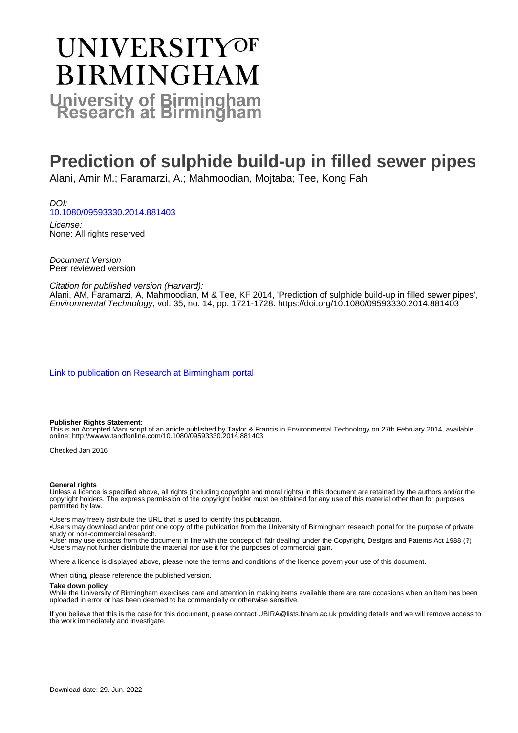# UNIVERSITYOF **BIRMINGHAM University of Birmingham**

## **Prediction of sulphide build-up in filled sewer pipes**

Alani, Amir M.; Faramarzi, A.; Mahmoodian, Mojtaba; Tee, Kong Fah

DOI: [10.1080/09593330.2014.881403](https://doi.org/10.1080/09593330.2014.881403)

License: None: All rights reserved

Document Version Peer reviewed version

Citation for published version (Harvard):

Alani, AM, Faramarzi, A, Mahmoodian, M & Tee, KF 2014, 'Prediction of sulphide build-up in filled sewer pipes', Environmental Technology, vol. 35, no. 14, pp. 1721-1728.<https://doi.org/10.1080/09593330.2014.881403>

[Link to publication on Research at Birmingham portal](https://birmingham.elsevierpure.com/en/publications/4d700910-a25d-4672-b910-67f988b94681)

#### **Publisher Rights Statement:**

This is an Accepted Manuscript of an article published by Taylor & Francis in Environmental Technology on 27th February 2014, available online: http://wwww.tandfonline.com/10.1080/09593330.2014.881403

Checked Jan 2016

#### **General rights**

Unless a licence is specified above, all rights (including copyright and moral rights) in this document are retained by the authors and/or the copyright holders. The express permission of the copyright holder must be obtained for any use of this material other than for purposes permitted by law.

• Users may freely distribute the URL that is used to identify this publication.

• Users may download and/or print one copy of the publication from the University of Birmingham research portal for the purpose of private study or non-commercial research.

• User may use extracts from the document in line with the concept of 'fair dealing' under the Copyright, Designs and Patents Act 1988 (?) • Users may not further distribute the material nor use it for the purposes of commercial gain.

Where a licence is displayed above, please note the terms and conditions of the licence govern your use of this document.

When citing, please reference the published version.

#### **Take down policy**

While the University of Birmingham exercises care and attention in making items available there are rare occasions when an item has been uploaded in error or has been deemed to be commercially or otherwise sensitive.

If you believe that this is the case for this document, please contact UBIRA@lists.bham.ac.uk providing details and we will remove access to the work immediately and investigate.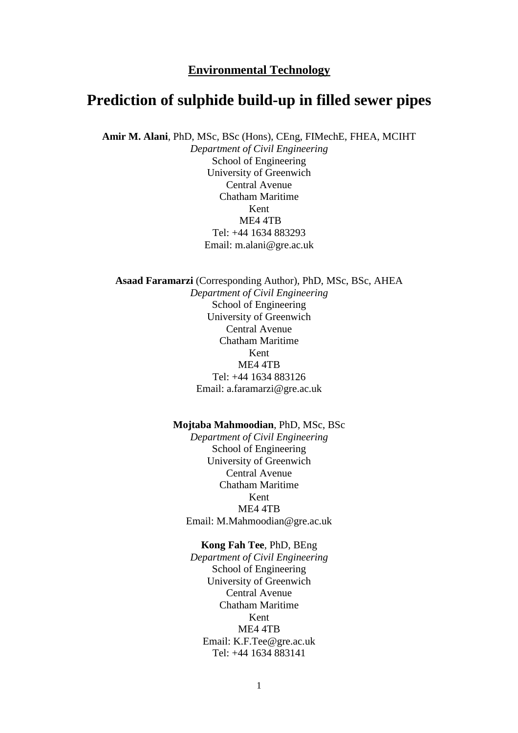#### **Environmental Technology**

### **Prediction of sulphide build-up in filled sewer pipes**

**Amir M. Alani**, PhD, MSc, BSc (Hons), CEng, FIMechE, FHEA, MCIHT

*Department of Civil Engineering* School of Engineering University of Greenwich Central Avenue Chatham Maritime Kent ME4 4TB Tel: +44 1634 883293 Email: m.alani@gre.ac.uk

**Asaad Faramarzi** (Corresponding Author), PhD, MSc, BSc, AHEA *Department of Civil Engineering*  School of Engineering University of Greenwich Central Avenue Chatham Maritime Kent ME4 4TB Tel: +44 1634 883126 Email: a.faramarzi@gre.ac.uk

#### **Mojtaba Mahmoodian**, PhD, MSc, BSc

*Department of Civil Engineering*  School of Engineering University of Greenwich Central Avenue Chatham Maritime Kent ME4 4TB Email: M.Mahmoodian@gre.ac.uk

#### **Kong Fah Tee**, PhD, BEng

*Department of Civil Engineering*  School of Engineering University of Greenwich Central Avenue Chatham Maritime Kent ME4 4TB Email: K.F.Tee@gre.ac.uk Tel: +44 1634 883141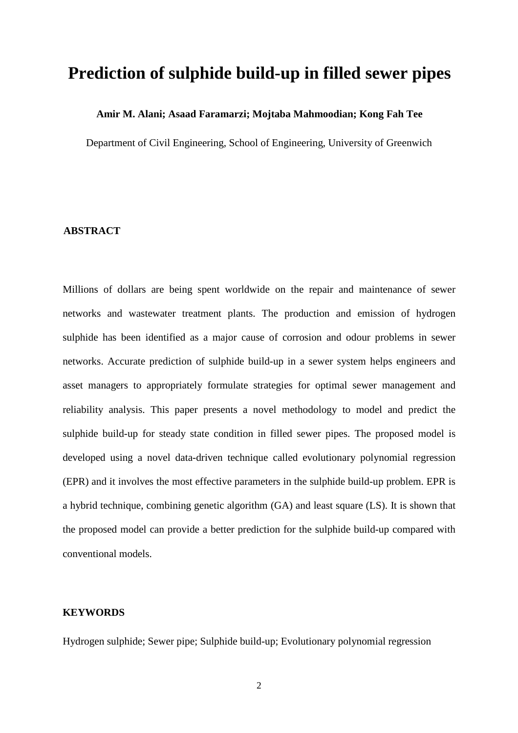## **Prediction of sulphide build-up in filled sewer pipes**

#### **Amir M. Alani; Asaad Faramarzi; Mojtaba Mahmoodian; Kong Fah Tee**

Department of Civil Engineering, School of Engineering, University of Greenwich

#### **ABSTRACT**

Millions of dollars are being spent worldwide on the repair and maintenance of sewer networks and wastewater treatment plants. The production and emission of hydrogen sulphide has been identified as a major cause of corrosion and odour problems in sewer networks. Accurate prediction of sulphide build-up in a sewer system helps engineers and asset managers to appropriately formulate strategies for optimal sewer management and reliability analysis. This paper presents a novel methodology to model and predict the sulphide build-up for steady state condition in filled sewer pipes. The proposed model is developed using a novel data-driven technique called evolutionary polynomial regression (EPR) and it involves the most effective parameters in the sulphide build-up problem. EPR is a hybrid technique, combining genetic algorithm (GA) and least square (LS). It is shown that the proposed model can provide a better prediction for the sulphide build-up compared with conventional models.

#### **KEYWORDS**

Hydrogen sulphide; Sewer pipe; Sulphide build-up; Evolutionary polynomial regression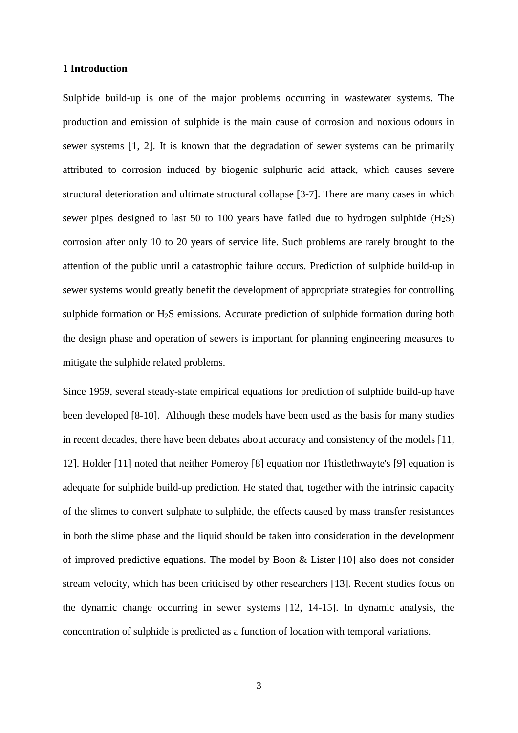#### **1 Introduction**

Sulphide build-up is one of the major problems occurring in wastewater systems. The production and emission of sulphide is the main cause of corrosion and noxious odours in sewer systems [1, 2]. It is known that the degradation of sewer systems can be primarily attributed to corrosion induced by biogenic sulphuric acid attack, which causes severe structural deterioration and ultimate structural collapse [3-7]. There are many cases in which sewer pipes designed to last 50 to 100 years have failed due to hydrogen sulphide  $(H_2S)$ corrosion after only 10 to 20 years of service life. Such problems are rarely brought to the attention of the public until a catastrophic failure occurs. Prediction of sulphide build-up in sewer systems would greatly benefit the development of appropriate strategies for controlling sulphide formation or H2S emissions. Accurate prediction of sulphide formation during both the design phase and operation of sewers is important for planning engineering measures to mitigate the sulphide related problems.

Since 1959, several steady-state empirical equations for prediction of sulphide build-up have been developed [8-10]. Although these models have been used as the basis for many studies in recent decades, there have been debates about accuracy and consistency of the models [11, 12]. Holder [11] noted that neither Pomeroy [8] equation nor Thistlethwayte's [9] equation is adequate for sulphide build-up prediction. He stated that, together with the intrinsic capacity of the slimes to convert sulphate to sulphide, the effects caused by mass transfer resistances in both the slime phase and the liquid should be taken into consideration in the development of improved predictive equations. The model by Boon & Lister [10] also does not consider stream velocity, which has been criticised by other researchers [13]. Recent studies focus on the dynamic change occurring in sewer systems [12, 14-15]. In dynamic analysis, the concentration of sulphide is predicted as a function of location with temporal variations.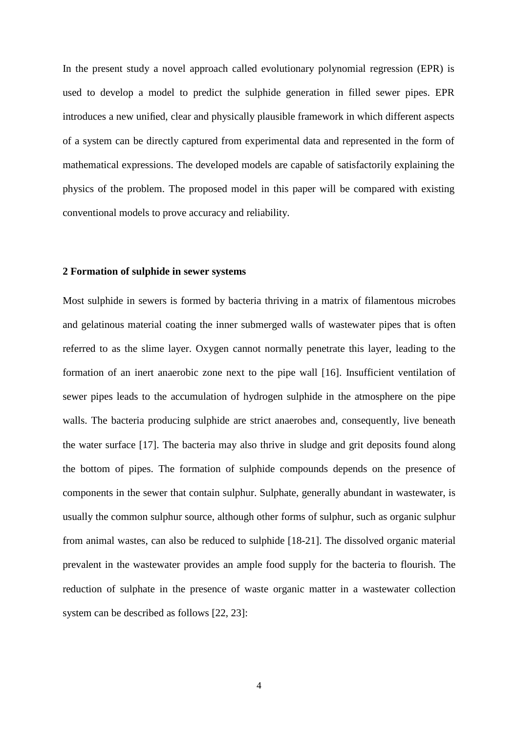In the present study a novel approach called evolutionary polynomial regression (EPR) is used to develop a model to predict the sulphide generation in filled sewer pipes. EPR introduces a new unified, clear and physically plausible framework in which different aspects of a system can be directly captured from experimental data and represented in the form of mathematical expressions. The developed models are capable of satisfactorily explaining the physics of the problem. The proposed model in this paper will be compared with existing conventional models to prove accuracy and reliability.

#### **2 Formation of sulphide in sewer systems**

Most sulphide in sewers is formed by bacteria thriving in a matrix of filamentous microbes and gelatinous material coating the inner submerged walls of wastewater pipes that is often referred to as the slime layer. Oxygen cannot normally penetrate this layer, leading to the formation of an inert anaerobic zone next to the pipe wall [16]. Insufficient ventilation of sewer pipes leads to the accumulation of hydrogen sulphide in the atmosphere on the pipe walls. The bacteria producing sulphide are strict anaerobes and, consequently, live beneath the water surface [17]. The bacteria may also thrive in sludge and grit deposits found along the bottom of pipes. The formation of sulphide compounds depends on the presence of components in the sewer that contain sulphur. Sulphate, generally abundant in wastewater, is usually the common sulphur source, although other forms of sulphur, such as organic sulphur from animal wastes, can also be reduced to sulphide [18-21]. The dissolved organic material prevalent in the wastewater provides an ample food supply for the bacteria to flourish. The reduction of sulphate in the presence of waste organic matter in a wastewater collection system can be described as follows [22, 23]: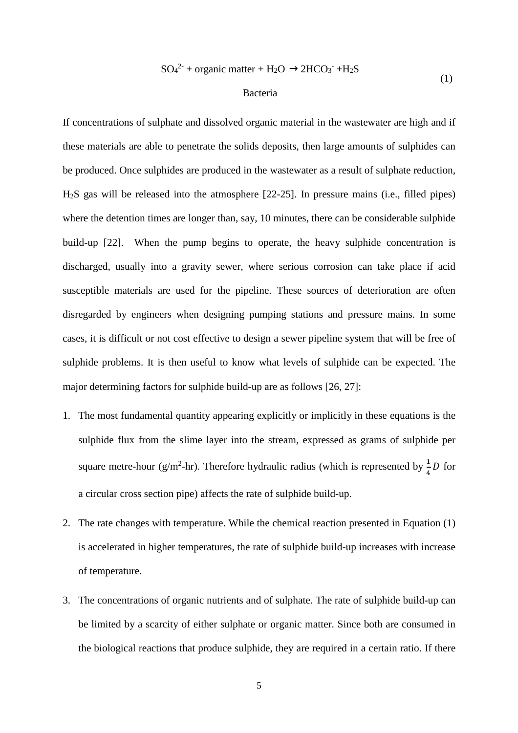$$
SO_4^{2-}
$$
 + organic matter + H<sub>2</sub>O  $\rightarrow$ 2HCO<sub>3</sub><sup>-</sup> +H<sub>2</sub>S (1)

#### Bacteria

If concentrations of sulphate and dissolved organic material in the wastewater are high and if these materials are able to penetrate the solids deposits, then large amounts of sulphides can be produced. Once sulphides are produced in the wastewater as a result of sulphate reduction, H2S gas will be released into the atmosphere [22-25]. In pressure mains (i.e., filled pipes) where the detention times are longer than, say, 10 minutes, there can be considerable sulphide build-up [22]. When the pump begins to operate, the heavy sulphide concentration is discharged, usually into a gravity sewer, where serious corrosion can take place if acid susceptible materials are used for the pipeline. These sources of deterioration are often disregarded by engineers when designing pumping stations and pressure mains. In some cases, it is difficult or not cost effective to design a sewer pipeline system that will be free of sulphide problems. It is then useful to know what levels of sulphide can be expected. The major determining factors for sulphide build-up are as follows [26, 27]:

- 1. The most fundamental quantity appearing explicitly or implicitly in these equations is the sulphide flux from the slime layer into the stream, expressed as grams of sulphide per square metre-hour (g/m<sup>2</sup>-hr). Therefore hydraulic radius (which is represented by  $\frac{1}{4}D$  for a circular cross section pipe) affects the rate of sulphide build-up.
- 2. The rate changes with temperature. While the chemical reaction presented in Equation (1) is accelerated in higher temperatures, the rate of sulphide build-up increases with increase of temperature.
- 3. The concentrations of organic nutrients and of sulphate. The rate of sulphide build-up can be limited by a scarcity of either sulphate or organic matter. Since both are consumed in the biological reactions that produce sulphide, they are required in a certain ratio. If there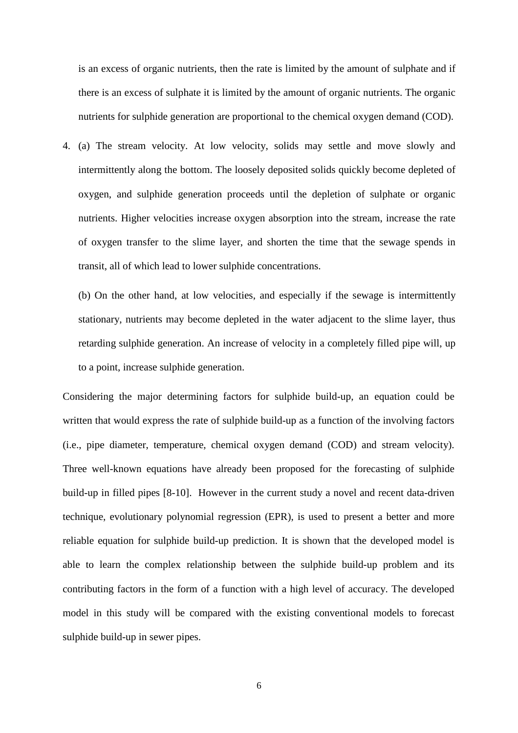is an excess of organic nutrients, then the rate is limited by the amount of sulphate and if there is an excess of sulphate it is limited by the amount of organic nutrients. The organic nutrients for sulphide generation are proportional to the chemical oxygen demand (COD).

4. (a) The stream velocity. At low velocity, solids may settle and move slowly and intermittently along the bottom. The loosely deposited solids quickly become depleted of oxygen, and sulphide generation proceeds until the depletion of sulphate or organic nutrients. Higher velocities increase oxygen absorption into the stream, increase the rate of oxygen transfer to the slime layer, and shorten the time that the sewage spends in transit, all of which lead to lower sulphide concentrations.

(b) On the other hand, at low velocities, and especially if the sewage is intermittently stationary, nutrients may become depleted in the water adjacent to the slime layer, thus retarding sulphide generation. An increase of velocity in a completely filled pipe will, up to a point, increase sulphide generation.

Considering the major determining factors for sulphide build-up, an equation could be written that would express the rate of sulphide build-up as a function of the involving factors (i.e., pipe diameter, temperature, chemical oxygen demand (COD) and stream velocity). Three well-known equations have already been proposed for the forecasting of sulphide build-up in filled pipes [8-10]. However in the current study a novel and recent data-driven technique, evolutionary polynomial regression (EPR), is used to present a better and more reliable equation for sulphide build-up prediction. It is shown that the developed model is able to learn the complex relationship between the sulphide build-up problem and its contributing factors in the form of a function with a high level of accuracy. The developed model in this study will be compared with the existing conventional models to forecast sulphide build-up in sewer pipes.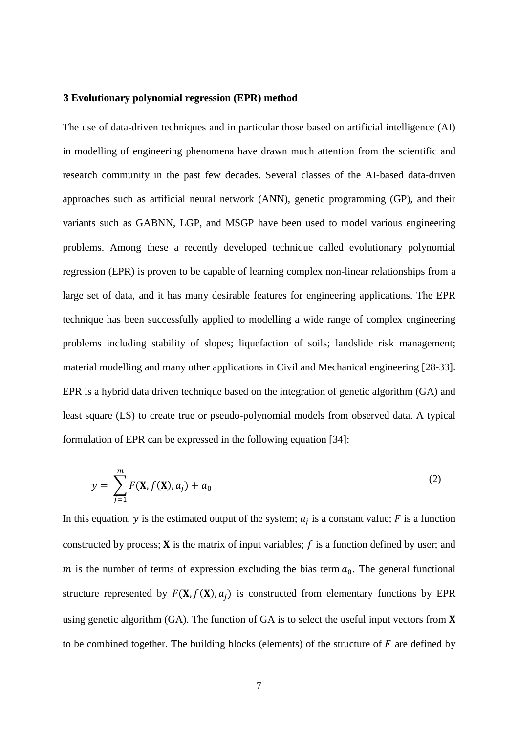#### **3 Evolutionary polynomial regression (EPR) method**

The use of data-driven techniques and in particular those based on artificial intelligence (AI) in modelling of engineering phenomena have drawn much attention from the scientific and research community in the past few decades. Several classes of the AI-based data-driven approaches such as artificial neural network (ANN), genetic programming (GP), and their variants such as GABNN, LGP, and MSGP have been used to model various engineering problems. Among these a recently developed technique called evolutionary polynomial regression (EPR) is proven to be capable of learning complex non-linear relationships from a large set of data, and it has many desirable features for engineering applications. The EPR technique has been successfully applied to modelling a wide range of complex engineering problems including stability of slopes; liquefaction of soils; landslide risk management; material modelling and many other applications in Civil and Mechanical engineering [28-33]. EPR is a hybrid data driven technique based on the integration of genetic algorithm (GA) and least square (LS) to create true or pseudo-polynomial models from observed data. A typical formulation of EPR can be expressed in the following equation [34]:

$$
y = \sum_{j=1}^{m} F(\mathbf{X}, f(\mathbf{X}), a_j) + a_0
$$
 (2)

In this equation, y is the estimated output of the system;  $a_j$  is a constant value; F is a function constructed by process;  $X$  is the matrix of input variables;  $f$  is a function defined by user; and m is the number of terms of expression excluding the bias term  $a_0$ . The general functional structure represented by  $F(\mathbf{X}, f(\mathbf{X}), a_j)$  is constructed from elementary functions by EPR using genetic algorithm (GA). The function of GA is to select the useful input vectors from  $X$ to be combined together. The building blocks (elements) of the structure of  $F$  are defined by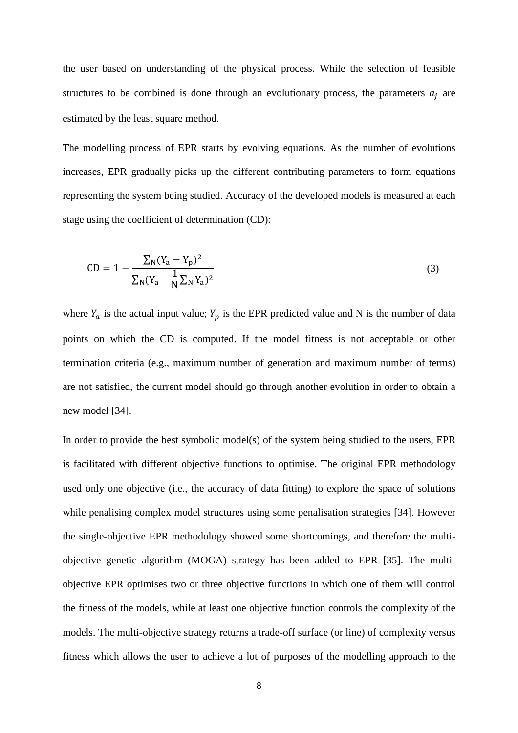the user based on understanding of the physical process. While the selection of feasible structures to be combined is done through an evolutionary process, the parameters  $a_j$  are estimated by the least square method.

The modelling process of EPR starts by evolving equations. As the number of evolutions increases, EPR gradually picks up the different contributing parameters to form equations representing the system being studied. Accuracy of the developed models is measured at each stage using the coefficient of determination (CD):

$$
CD = 1 - \frac{\sum_{N} (Y_a - Y_p)^2}{\sum_{N} (Y_a - \frac{1}{N} \sum_{N} Y_a)^2}
$$
\n(3)

where  $Y_a$  is the actual input value;  $Y_p$  is the EPR predicted value and N is the number of data points on which the CD is computed. If the model fitness is not acceptable or other termination criteria (e.g., maximum number of generation and maximum number of terms) are not satisfied, the current model should go through another evolution in order to obtain a new model [34].

In order to provide the best symbolic model(s) of the system being studied to the users, EPR is facilitated with different objective functions to optimise. The original EPR methodology used only one objective (i.e., the accuracy of data fitting) to explore the space of solutions while penalising complex model structures using some penalisation strategies [34]. However the single-objective EPR methodology showed some shortcomings, and therefore the multiobjective genetic algorithm (MOGA) strategy has been added to EPR [35]. The multiobjective EPR optimises two or three objective functions in which one of them will control the fitness of the models, while at least one objective function controls the complexity of the models. The multi-objective strategy returns a trade-off surface (or line) of complexity versus fitness which allows the user to achieve a lot of purposes of the modelling approach to the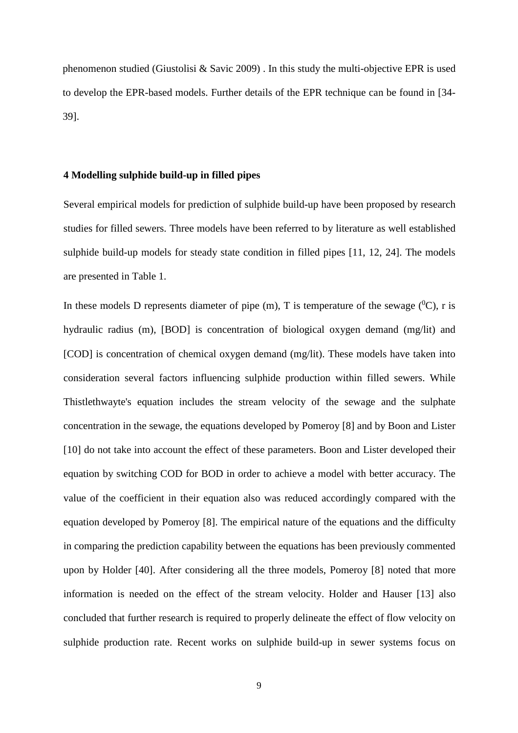phenomenon studied (Giustolisi & Savic 2009) . In this study the multi-objective EPR is used to develop the EPR-based models. Further details of the EPR technique can be found in [34- 39].

#### **4 Modelling sulphide build-up in filled pipes**

Several empirical models for prediction of sulphide build-up have been proposed by research studies for filled sewers. Three models have been referred to by literature as well established sulphide build-up models for steady state condition in filled pipes [11, 12, 24]. The models are presented in Table 1.

In these models D represents diameter of pipe  $(m)$ , T is temperature of the sewage  $(^{0}C)$ , r is hydraulic radius (m), [BOD] is concentration of biological oxygen demand (mg/lit) and [COD] is concentration of chemical oxygen demand (mg/lit). These models have taken into consideration several factors influencing sulphide production within filled sewers. While Thistlethwayte's equation includes the stream velocity of the sewage and the sulphate concentration in the sewage, the equations developed by Pomeroy [8] and by Boon and Lister [10] do not take into account the effect of these parameters. Boon and Lister developed their equation by switching COD for BOD in order to achieve a model with better accuracy. The value of the coefficient in their equation also was reduced accordingly compared with the equation developed by Pomeroy [8]. The empirical nature of the equations and the difficulty in comparing the prediction capability between the equations has been previously commented upon by Holder [40]. After considering all the three models, Pomeroy [8] noted that more information is needed on the effect of the stream velocity. Holder and Hauser [13] also concluded that further research is required to properly delineate the effect of flow velocity on sulphide production rate. Recent works on sulphide build-up in sewer systems focus on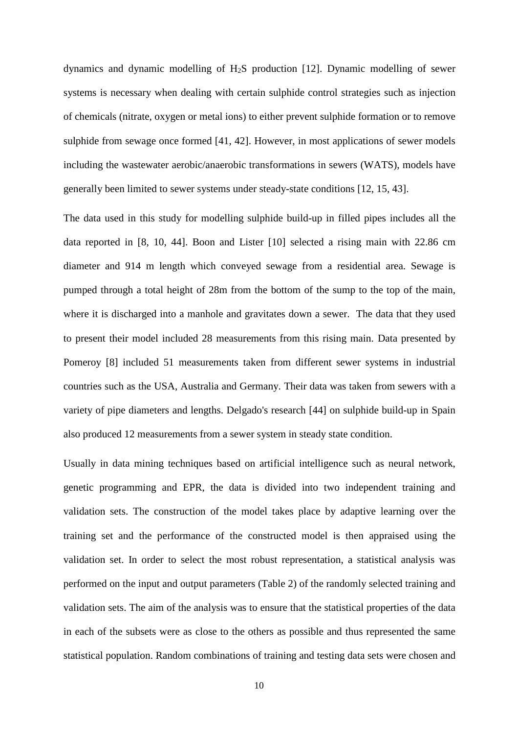dynamics and dynamic modelling of H2S production [12]. Dynamic modelling of sewer systems is necessary when dealing with certain sulphide control strategies such as injection of chemicals (nitrate, oxygen or metal ions) to either prevent sulphide formation or to remove sulphide from sewage once formed [41, 42]. However, in most applications of sewer models including the wastewater aerobic/anaerobic transformations in sewers (WATS), models have generally been limited to sewer systems under steady-state conditions [12, 15, 43].

The data used in this study for modelling sulphide build-up in filled pipes includes all the data reported in [8, 10, 44]. Boon and Lister [10] selected a rising main with 22.86 cm diameter and 914 m length which conveyed sewage from a residential area. Sewage is pumped through a total height of 28m from the bottom of the sump to the top of the main, where it is discharged into a manhole and gravitates down a sewer. The data that they used to present their model included 28 measurements from this rising main. Data presented by Pomeroy [8] included 51 measurements taken from different sewer systems in industrial countries such as the USA, Australia and Germany. Their data was taken from sewers with a variety of pipe diameters and lengths. Delgado's research [44] on sulphide build-up in Spain also produced 12 measurements from a sewer system in steady state condition.

Usually in data mining techniques based on artificial intelligence such as neural network, genetic programming and EPR, the data is divided into two independent training and validation sets. The construction of the model takes place by adaptive learning over the training set and the performance of the constructed model is then appraised using the validation set. In order to select the most robust representation, a statistical analysis was performed on the input and output parameters (Table 2) of the randomly selected training and validation sets. The aim of the analysis was to ensure that the statistical properties of the data in each of the subsets were as close to the others as possible and thus represented the same statistical population. Random combinations of training and testing data sets were chosen and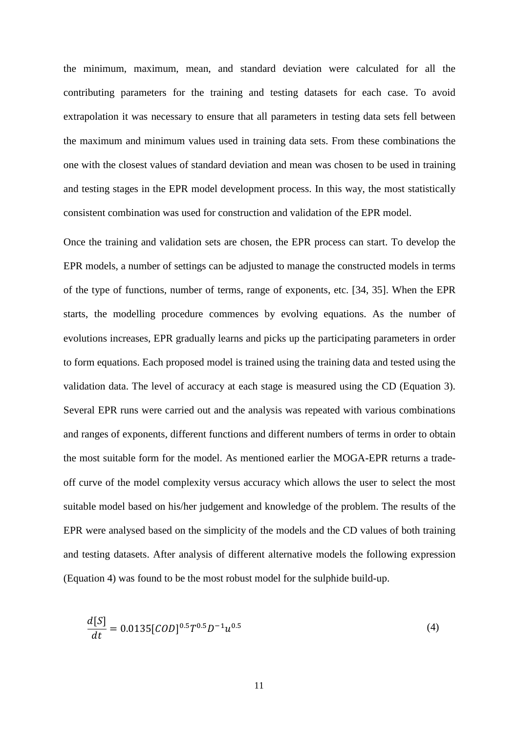the minimum, maximum, mean, and standard deviation were calculated for all the contributing parameters for the training and testing datasets for each case. To avoid extrapolation it was necessary to ensure that all parameters in testing data sets fell between the maximum and minimum values used in training data sets. From these combinations the one with the closest values of standard deviation and mean was chosen to be used in training and testing stages in the EPR model development process. In this way, the most statistically consistent combination was used for construction and validation of the EPR model.

Once the training and validation sets are chosen, the EPR process can start. To develop the EPR models, a number of settings can be adjusted to manage the constructed models in terms of the type of functions, number of terms, range of exponents, etc. [34, 35]. When the EPR starts, the modelling procedure commences by evolving equations. As the number of evolutions increases, EPR gradually learns and picks up the participating parameters in order to form equations. Each proposed model is trained using the training data and tested using the validation data. The level of accuracy at each stage is measured using the CD (Equation 3). Several EPR runs were carried out and the analysis was repeated with various combinations and ranges of exponents, different functions and different numbers of terms in order to obtain the most suitable form for the model. As mentioned earlier the MOGA-EPR returns a tradeoff curve of the model complexity versus accuracy which allows the user to select the most suitable model based on his/her judgement and knowledge of the problem. The results of the EPR were analysed based on the simplicity of the models and the CD values of both training and testing datasets. After analysis of different alternative models the following expression (Equation 4) was found to be the most robust model for the sulphide build-up.

$$
\frac{d[S]}{dt} = 0.0135[COD]^{0.5}T^{0.5}D^{-1}u^{0.5}
$$
\n(4)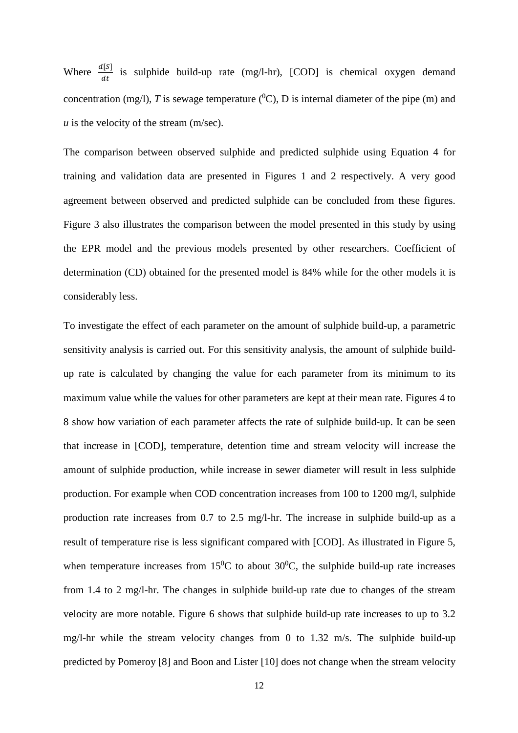Where  $\frac{d[S]}{dt}$  is sulphide build-up rate (mg/l-hr), [COD] is chemical oxygen demand concentration (mg/l), *T* is sewage temperature  $({}^{0}C)$ , *D* is internal diameter of the pipe (m) and  *is the velocity of the stream (m/sec).* 

The comparison between observed sulphide and predicted sulphide using Equation 4 for training and validation data are presented in Figures 1 and 2 respectively. A very good agreement between observed and predicted sulphide can be concluded from these figures. Figure 3 also illustrates the comparison between the model presented in this study by using the EPR model and the previous models presented by other researchers. Coefficient of determination (CD) obtained for the presented model is 84% while for the other models it is considerably less.

To investigate the effect of each parameter on the amount of sulphide build-up, a parametric sensitivity analysis is carried out. For this sensitivity analysis, the amount of sulphide buildup rate is calculated by changing the value for each parameter from its minimum to its maximum value while the values for other parameters are kept at their mean rate. Figures 4 to 8 show how variation of each parameter affects the rate of sulphide build-up. It can be seen that increase in [COD], temperature, detention time and stream velocity will increase the amount of sulphide production, while increase in sewer diameter will result in less sulphide production. For example when COD concentration increases from 100 to 1200 mg/l, sulphide production rate increases from 0.7 to 2.5 mg/l-hr. The increase in sulphide build-up as a result of temperature rise is less significant compared with [COD]. As illustrated in Figure 5, when temperature increases from  $15^{\circ}$ C to about  $30^{\circ}$ C, the sulphide build-up rate increases from 1.4 to 2 mg/l-hr. The changes in sulphide build-up rate due to changes of the stream velocity are more notable. Figure 6 shows that sulphide build-up rate increases to up to 3.2 mg/l-hr while the stream velocity changes from 0 to 1.32 m/s. The sulphide build-up predicted by Pomeroy [8] and Boon and Lister [10] does not change when the stream velocity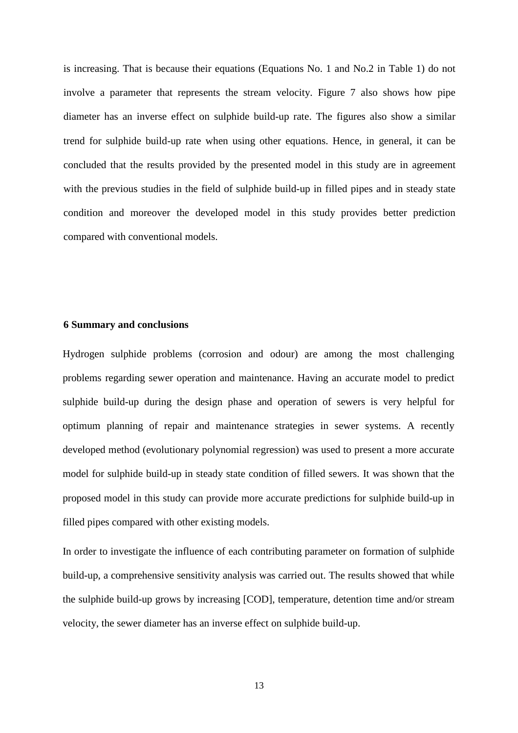is increasing. That is because their equations (Equations No. 1 and No.2 in Table 1) do not involve a parameter that represents the stream velocity. Figure 7 also shows how pipe diameter has an inverse effect on sulphide build-up rate. The figures also show a similar trend for sulphide build-up rate when using other equations. Hence, in general, it can be concluded that the results provided by the presented model in this study are in agreement with the previous studies in the field of sulphide build-up in filled pipes and in steady state condition and moreover the developed model in this study provides better prediction compared with conventional models.

#### **6 Summary and conclusions**

Hydrogen sulphide problems (corrosion and odour) are among the most challenging problems regarding sewer operation and maintenance. Having an accurate model to predict sulphide build-up during the design phase and operation of sewers is very helpful for optimum planning of repair and maintenance strategies in sewer systems. A recently developed method (evolutionary polynomial regression) was used to present a more accurate model for sulphide build-up in steady state condition of filled sewers. It was shown that the proposed model in this study can provide more accurate predictions for sulphide build-up in filled pipes compared with other existing models.

In order to investigate the influence of each contributing parameter on formation of sulphide build-up, a comprehensive sensitivity analysis was carried out. The results showed that while the sulphide build-up grows by increasing [COD], temperature, detention time and/or stream velocity, the sewer diameter has an inverse effect on sulphide build-up.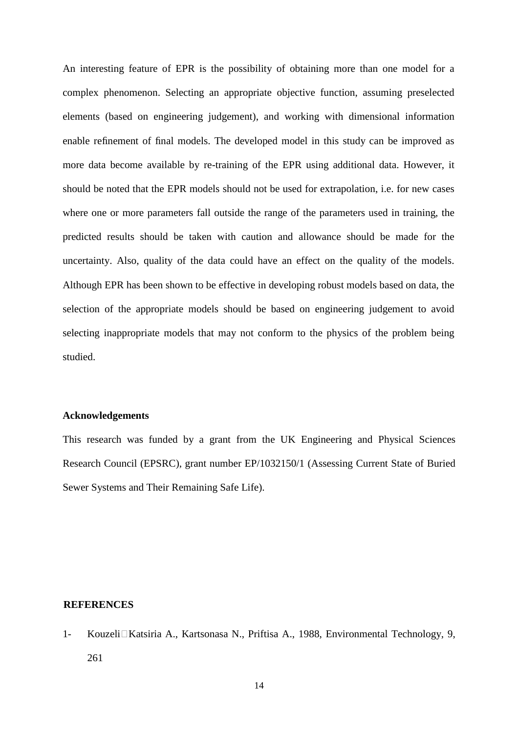An interesting feature of EPR is the possibility of obtaining more than one model for a complex phenomenon. Selecting an appropriate objective function, assuming preselected elements (based on engineering judgement), and working with dimensional information enable refinement of final models. The developed model in this study can be improved as more data become available by re-training of the EPR using additional data. However, it should be noted that the EPR models should not be used for extrapolation, i.e. for new cases where one or more parameters fall outside the range of the parameters used in training, the predicted results should be taken with caution and allowance should be made for the uncertainty. Also, quality of the data could have an effect on the quality of the models. Although EPR has been shown to be effective in developing robust models based on data, the selection of the appropriate models should be based on engineering judgement to avoid selecting inappropriate models that may not conform to the physics of the problem being studied.

#### **Acknowledgements**

This research was funded by a grant from the UK Engineering and Physical Sciences Research Council (EPSRC), grant number EP/1032150/1 (Assessing Current State of Buried Sewer Systems and Their Remaining Safe Life).

#### **REFERENCES**

1- Kouzeli Katsiria A., Kartsonasa N., Priftisa A., 1988, Environmental Technology, 9, 261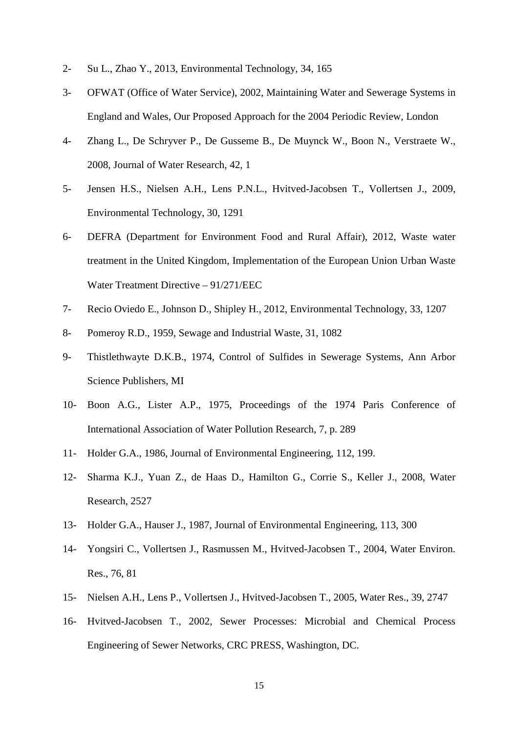- 2- Su L., Zhao Y., 2013, Environmental Technology, 34, 165
- 3- OFWAT (Office of Water Service), 2002, Maintaining Water and Sewerage Systems in England and Wales, Our Proposed Approach for the 2004 Periodic Review, London
- 4- Zhang L., De Schryver P., De Gusseme B., De Muynck W., Boon N., Verstraete W., 2008, Journal of Water Research, 42, 1
- 5- Jensen H.S., Nielsen A.H., Lens P.N.L., Hvitved-Jacobsen T., Vollertsen J., 2009, Environmental Technology, 30, 1291
- 6- DEFRA (Department for Environment Food and Rural Affair), 2012, Waste water treatment in the United Kingdom, Implementation of the European Union Urban Waste Water Treatment Directive – 91/271/EEC
- 7- Recio Oviedo E., Johnson D., Shipley H., 2012, Environmental Technology, 33, 1207
- 8- Pomeroy R.D., 1959, Sewage and Industrial Waste, 31, 1082
- 9- Thistlethwayte D.K.B., 1974, Control of Sulfides in Sewerage Systems, Ann Arbor Science Publishers, MI
- 10- Boon A.G., Lister A.P., 1975, Proceedings of the 1974 Paris Conference of International Association of Water Pollution Research, 7, p. 289
- 11- Holder G.A., 1986, Journal of Environmental Engineering, 112, 199.
- 12- Sharma K.J., Yuan Z., de Haas D., Hamilton G., Corrie S., Keller J., 2008, Water Research, 2527
- 13- Holder G.A., Hauser J., 1987, Journal of Environmental Engineering, 113, 300
- 14- Yongsiri C., Vollertsen J., Rasmussen M., Hvitved-Jacobsen T., 2004, Water Environ. Res., 76, 81
- 15- Nielsen A.H., Lens P., Vollertsen J., Hvitved-Jacobsen T., 2005, Water Res., 39, 2747
- 16- Hvitved-Jacobsen T., 2002, Sewer Processes: Microbial and Chemical Process Engineering of Sewer Networks, CRC PRESS, Washington, DC.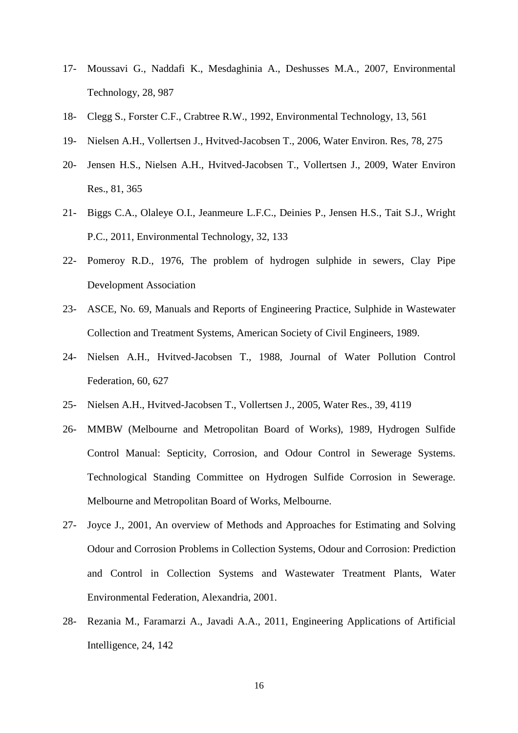- 17- Moussavi G., Naddafi K., Mesdaghinia A., Deshusses M.A., 2007, Environmental Technology, 28, 987
- 18- Clegg S., Forster C.F., Crabtree R.W., 1992, Environmental Technology, 13, 561
- 19- Nielsen A.H., Vollertsen J., Hvitved-Jacobsen T., 2006, Water Environ. Res, 78, 275
- 20- Jensen H.S., Nielsen A.H., Hvitved-Jacobsen T., Vollertsen J., 2009, Water Environ Res., 81, 365
- 21- Biggs C.A., Olaleye O.I., Jeanmeure L.F.C., Deinies P., Jensen H.S., Tait S.J., Wright P.C., 2011, Environmental Technology, 32, 133
- 22- Pomeroy R.D., 1976, The problem of hydrogen sulphide in sewers, Clay Pipe Development Association
- 23- ASCE, No. 69, Manuals and Reports of Engineering Practice, Sulphide in Wastewater Collection and Treatment Systems, American Society of Civil Engineers, 1989.
- 24- Nielsen A.H., Hvitved-Jacobsen T., 1988, Journal of Water Pollution Control Federation, 60, 627
- 25- Nielsen A.H., Hvitved-Jacobsen T., Vollertsen J., 2005, Water Res., 39, 4119
- 26- MMBW (Melbourne and Metropolitan Board of Works), 1989, Hydrogen Sulfide Control Manual: Septicity, Corrosion, and Odour Control in Sewerage Systems. Technological Standing Committee on Hydrogen Sulfide Corrosion in Sewerage. Melbourne and Metropolitan Board of Works, Melbourne.
- 27- Joyce J., 2001, An overview of Methods and Approaches for Estimating and Solving Odour and Corrosion Problems in Collection Systems, Odour and Corrosion: Prediction and Control in Collection Systems and Wastewater Treatment Plants, Water Environmental Federation, Alexandria, 2001.
- 28- Rezania M., Faramarzi A., Javadi A.A., 2011, Engineering Applications of Artificial Intelligence, 24, 142